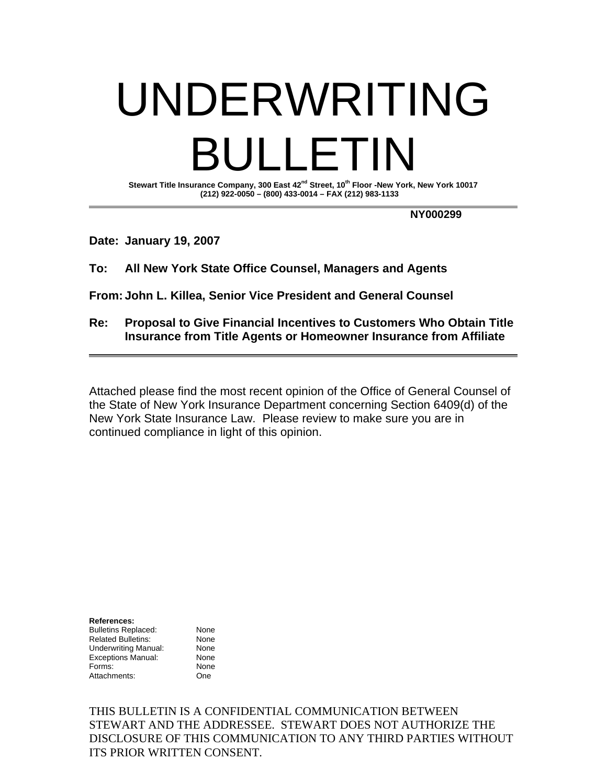# UNDERWRITING ULLETIN

Stewart Title Insurance Company, 300 East 42<sup>nd</sup> Street, 10<sup>th</sup> Floor -New York, New York 10017  **(212) 922-0050 – (800) 433-0014 – FAX (212) 983-1133** 

 **NY000299** 

**Date: January 19, 2007** 

**To: All New York State Office Counsel, Managers and Agents** 

**From: John L. Killea, Senior Vice President and General Counsel** 

**Re: Proposal to Give Financial Incentives to Customers Who Obtain Title Insurance from Title Agents or Homeowner Insurance from Affiliate**

Attached please find the most recent opinion of the Office of General Counsel of the State of New York Insurance Department concerning Section 6409(d) of the New York State Insurance Law. Please review to make sure you are in continued compliance in light of this opinion.

**References:**  Bulletins Replaced: None Related Bulletins: None Underwriting Manual: None Exceptions Manual: None Forms: None Attachments: One

THIS BULLETIN IS A CONFIDENTIAL COMMUNICATION BETWEEN STEWART AND THE ADDRESSEE. STEWART DOES NOT AUTHORIZE THE DISCLOSURE OF THIS COMMUNICATION TO ANY THIRD PARTIES WITHOUT ITS PRIOR WRITTEN CONSENT.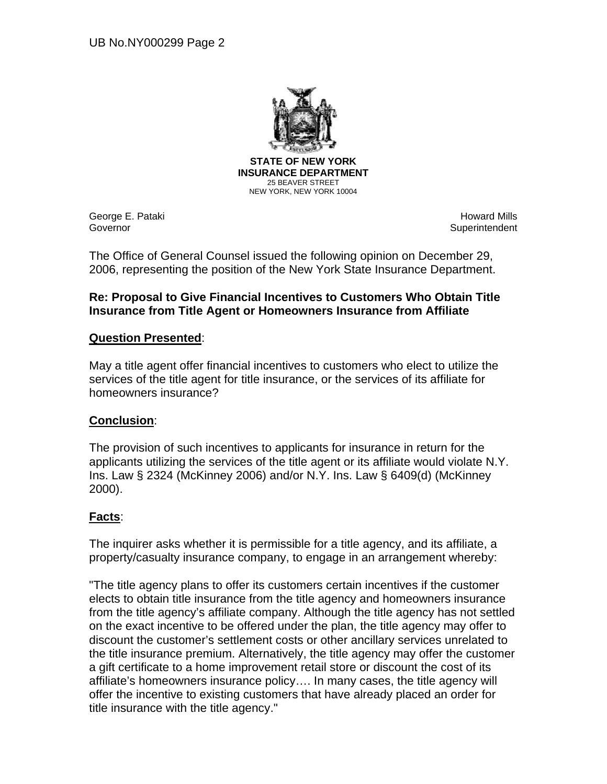

George E. Pataki Governor

Howard Mills **Superintendent** 

The Office of General Counsel issued the following opinion on December 29, 2006, representing the position of the New York State Insurance Department.

# **Re: Proposal to Give Financial Incentives to Customers Who Obtain Title Insurance from Title Agent or Homeowners Insurance from Affiliate**

# **Question Presented**:

May a title agent offer financial incentives to customers who elect to utilize the services of the title agent for title insurance, or the services of its affiliate for homeowners insurance?

#### **Conclusion**:

The provision of such incentives to applicants for insurance in return for the applicants utilizing the services of the title agent or its affiliate would violate N.Y. Ins. Law § 2324 (McKinney 2006) and/or N.Y. Ins. Law § 6409(d) (McKinney 2000).

# **Facts**:

The inquirer asks whether it is permissible for a title agency, and its affiliate, a property/casualty insurance company, to engage in an arrangement whereby:

"The title agency plans to offer its customers certain incentives if the customer elects to obtain title insurance from the title agency and homeowners insurance from the title agency's affiliate company. Although the title agency has not settled on the exact incentive to be offered under the plan, the title agency may offer to discount the customer's settlement costs or other ancillary services unrelated to the title insurance premium. Alternatively, the title agency may offer the customer a gift certificate to a home improvement retail store or discount the cost of its affiliate's homeowners insurance policy…. In many cases, the title agency will offer the incentive to existing customers that have already placed an order for title insurance with the title agency."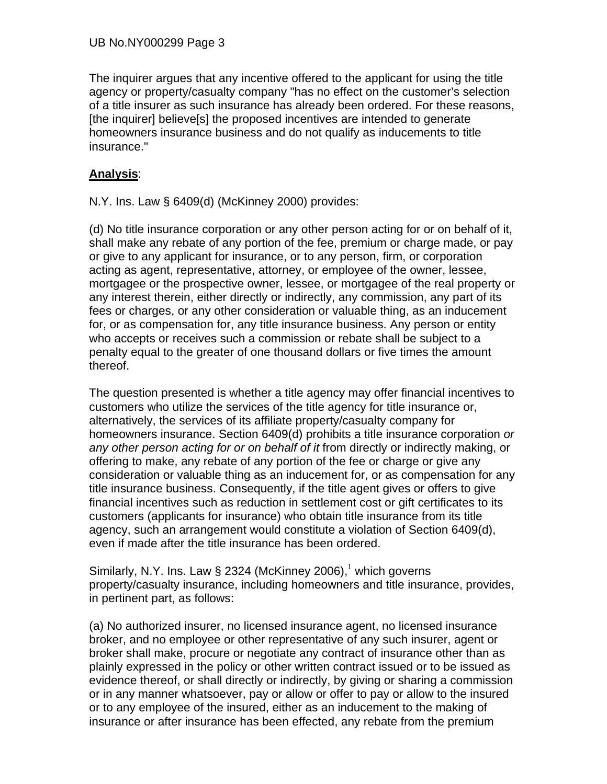The inquirer argues that any incentive offered to the applicant for using the title agency or property/casualty company "has no effect on the customer's selection of a title insurer as such insurance has already been ordered. For these reasons, [the inquirer] believe[s] the proposed incentives are intended to generate homeowners insurance business and do not qualify as inducements to title insurance."

# **Analysis**:

N.Y. Ins. Law § 6409(d) (McKinney 2000) provides:

(d) No title insurance corporation or any other person acting for or on behalf of it, shall make any rebate of any portion of the fee, premium or charge made, or pay or give to any applicant for insurance, or to any person, firm, or corporation acting as agent, representative, attorney, or employee of the owner, lessee, mortgagee or the prospective owner, lessee, or mortgagee of the real property or any interest therein, either directly or indirectly, any commission, any part of its fees or charges, or any other consideration or valuable thing, as an inducement for, or as compensation for, any title insurance business. Any person or entity who accepts or receives such a commission or rebate shall be subject to a penalty equal to the greater of one thousand dollars or five times the amount thereof.

The question presented is whether a title agency may offer financial incentives to customers who utilize the services of the title agency for title insurance or, alternatively, the services of its affiliate property/casualty company for homeowners insurance. Section 6409(d) prohibits a title insurance corporation *or any other person acting for or on behalf of it* from directly or indirectly making, or offering to make, any rebate of any portion of the fee or charge or give any consideration or valuable thing as an inducement for, or as compensation for any title insurance business. Consequently, if the title agent gives or offers to give financial incentives such as reduction in settlement cost or gift certificates to its customers (applicants for insurance) who obtain title insurance from its title agency, such an arrangement would constitute a violation of Section 6409(d), even if made after the title insurance has been ordered.

Similarly, N.Y. Ins. Law § 2324 (McKinney 2006),<sup>1</sup> which governs property/casualty insurance, including homeowners and title insurance, provides, in pertinent part, as follows:

(a) No authorized insurer, no licensed insurance agent, no licensed insurance broker, and no employee or other representative of any such insurer, agent or broker shall make, procure or negotiate any contract of insurance other than as plainly expressed in the policy or other written contract issued or to be issued as evidence thereof, or shall directly or indirectly, by giving or sharing a commission or in any manner whatsoever, pay or allow or offer to pay or allow to the insured or to any employee of the insured, either as an inducement to the making of insurance or after insurance has been effected, any rebate from the premium